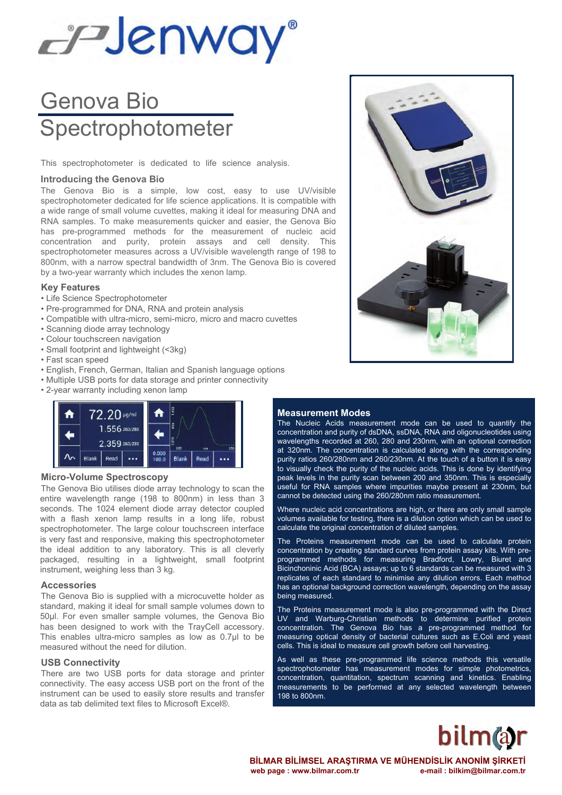# EPJenway®

# Genova Bio **Spectrophotometer**

This spectrophotometer is dedicated to life science analysis.

#### **Introducing the Genova Bio**

The Genova Bio is a simple, low cost, easy to use UV/visible spectrophotometer dedicated for life science applications. It is compatible with a wide range of small volume cuvettes, making it ideal for measuring DNA and RNA samples. To make measurements quicker and easier, the Genova Bio has pre-programmed methods for the measurement of nucleic acid concentration and purity, protein assays and cell density. This spectrophotometer measures across a UV/visible wavelength range of 198 to 800nm, with a narrow spectral bandwidth of 3nm. The Genova Bio is covered by a two-year warranty which includes the xenon lamp.

#### **Key Features**

- Life Science Spectrophotometer
- Pre-programmed for DNA, RNA and protein analysis
- Compatible with ultra-micro, semi-micro, micro and macro cuvettes
- Scanning diode array technology
- Colour touchscreen navigation
- Small footprint and lightweight (<3kg)
- Fast scan speed
- English, French, German, Italian and Spanish language options
- Multiple USB ports for data storage and printer connectivity
- 2-year warranty including xenon lamp



#### **Micro-Volume Spectroscopy**

The Genova Bio utilises diode array technology to scan the entire wavelength range (198 to 800nm) in less than 3 seconds. The 1024 element diode array detector coupled with a flash xenon lamp results in a long life, robust spectrophotometer. The large colour touchscreen interface is very fast and responsive, making this spectrophotometer the ideal addition to any laboratory. This is all cleverly packaged, resulting in a lightweight, small footprint instrument, weighing less than 3 kg.

#### **Accessories**

The Genova Bio is supplied with a microcuvette holder as standard, making it ideal for small sample volumes down to 50μl. For even smaller sample volumes, the Genova Bio has been designed to work with the TrayCell accessory. This enables ultra-micro samples as low as 0.7μl to be measured without the need for dilution.

#### **USB Connectivity**

There are two USB ports for data storage and printer connectivity. The easy access USB port on the front of the instrument can be used to easily store results and transfer data as tab delimited text files to Microsoft Excel®.



#### **Measurement Modes**

The Nucleic Acids measurement mode can be used to quantify the concentration and purity of dsDNA, ssDNA, RNA and oligonucleotides using wavelengths recorded at 260, 280 and 230nm, with an optional correction at 320nm. The concentration is calculated along with the corresponding purity ratios 260/280nm and 260/230nm. At the touch of a button it is easy to visually check the purity of the nucleic acids. This is done by identifying peak levels in the purity scan between 200 and 350nm. This is especially useful for RNA samples where impurities maybe present at 230nm, but cannot be detected using the 260/280nm ratio measurement.

Where nucleic acid concentrations are high, or there are only small sample volumes available for testing, there is a dilution option which can be used to calculate the original concentration of diluted samples.

The Proteins measurement mode can be used to calculate protein concentration by creating standard curves from protein assay kits. With preprogrammed methods for measuring Bradford, Lowry, Biuret and Bicinchoninic Acid (BCA) assays; up to 6 standards can be measured with 3 replicates of each standard to minimise any dilution errors. Each method has an optional background correction wavelength, depending on the assay being measured.

The Proteins measurement mode is also pre-programmed with the Direct UV and Warburg-Christian methods to determine purified protein concentration. The Genova Bio has a pre-programmed method for measuring optical density of bacterial cultures such as E.Coli and yeast cells. This is ideal to measure cell growth before cell harvesting.

As well as these pre-programmed life science methods this versatile spectrophotometer has measurement modes for simple photometrics, concentration, quantitation, spectrum scanning and kinetics. Enabling measurements to be performed at any selected wavelength between 198 to 800nm.

# **bilm@r**

**BİLMAR BİLİMSEL ARAŞTIRMA VE MÜHENDİSLİK ANONİM ŞİRKETİ** web page : www.bilmar.com.tr